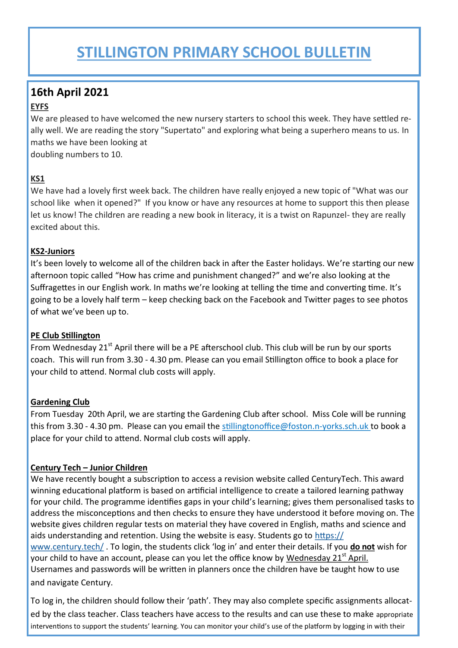## **STILLINGTON PRIMARY SCHOOL BULLETIN**

## **16th April 2021**

#### **EYFS**

We are pleased to have welcomed the new nursery starters to school this week. They have settled really well. We are reading the story "Supertato" and exploring what being a superhero means to us. In maths we have been looking at

doubling numbers to 10.

#### **KS1**

We have had a lovely first week back. The children have really enjoyed a new topic of "What was our school like when it opened?" If you know or have any resources at home to support this then please let us know! The children are reading a new book in literacy, it is a twist on Rapunzel- they are really excited about this.

#### **KS2-Juniors**

It's been lovely to welcome all of the children back in after the Easter holidays. We're starting our new afternoon topic called "How has crime and punishment changed?" and we're also looking at the Suffragettes in our English work. In maths we're looking at telling the time and converting time. It's going to be a lovely half term – keep checking back on the Facebook and Twitter pages to see photos of what we've been up to.

#### **PE Club Stillington**

From Wednesday  $21<sup>st</sup>$  April there will be a PE afterschool club. This club will be run by our sports coach. This will run from 3.30 - 4.30 pm. Please can you email Stillington office to book a place for your child to attend. Normal club costs will apply.

#### **Gardening Club**

From Tuesday 20th April, we are starting the Gardening Club after school. Miss Cole will be running this from 3.30 - 4.30 pm. Please can you email the stillingtonoffice@foston.n-yorks.sch.uk to book a place for your child to attend. Normal club costs will apply.

#### **Century Tech – Junior Children**

We have recently bought a subscription to access a revision website called CenturyTech. This award winning educational platform is based on artificial intelligence to create a tailored learning pathway for your child. The programme identifies gaps in your child's learning; gives them personalised tasks to address the misconceptions and then checks to ensure they have understood it before moving on. The website gives children regular tests on material they have covered in English, maths and science and aids understanding and retention. Using the website is easy. Students go to [https://](https://www.century.tech/) [www.century.tech/](https://www.century.tech/) . To login, the students click 'log in' and enter their details. If you **do not** wish for your child to have an account, please can you let the office know by Wednesday 21 $^{\rm st}$  April. Usernames and passwords will be written in planners once the children have be taught how to use and navigate Century.

To log in, the children should follow their 'path'. They may also complete specific assignments allocated by the class teacher. Class teachers have access to the results and can use these to make appropriate interventions to support the students' learning. You can monitor your child's use of the platform by logging in with their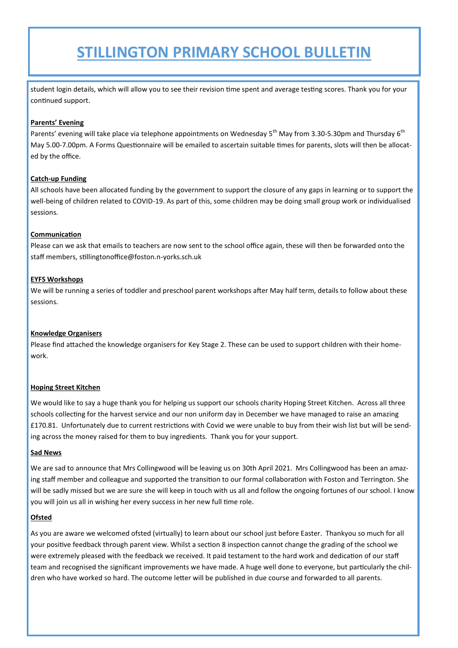## **STILLINGTON PRIMARY SCHOOL BULLETIN**

student login details, which will allow you to see their revision time spent and average testing scores. Thank you for your continued support.

#### **Parents' Evening**

Parents' evening will take place via telephone appointments on Wednesday 5<sup>th</sup> May from 3.30-5.30pm and Thursday 6<sup>th</sup> May 5.00-7.00pm. A Forms Questionnaire will be emailed to ascertain suitable times for parents, slots will then be allocated by the office.

#### **Catch-up Funding**

All schools have been allocated funding by the government to support the closure of any gaps in learning or to support the well-being of children related to COVID-19. As part of this, some children may be doing small group work or individualised sessions.

#### **Communication**

Please can we ask that emails to teachers are now sent to the school office again, these will then be forwarded onto the staff members, stillingtonoffice@foston.n-yorks.sch.uk

#### **EYFS Workshops**

We will be running a series of toddler and preschool parent workshops after May half term, details to follow about these sessions.

#### **Knowledge Organisers**

Please find attached the knowledge organisers for Key Stage 2. These can be used to support children with their homework.

#### **Hoping Street Kitchen**

We would like to say a huge thank you for helping us support our schools charity Hoping Street Kitchen. Across all three schools collecting for the harvest service and our non uniform day in December we have managed to raise an amazing £170.81. Unfortunately due to current restrictions with Covid we were unable to buy from their wish list but will be sending across the money raised for them to buy ingredients. Thank you for your support.

#### **Sad News**

We are sad to announce that Mrs Collingwood will be leaving us on 30th April 2021. Mrs Collingwood has been an amazing staff member and colleague and supported the transition to our formal collaboration with Foston and Terrington. She will be sadly missed but we are sure she will keep in touch with us all and follow the ongoing fortunes of our school. I know you will join us all in wishing her every success in her new full time role.

#### **Ofsted**

As you are aware we welcomed ofsted (virtually) to learn about our school just before Easter. Thankyou so much for all your positive feedback through parent view. Whilst a section 8 inspection cannot change the grading of the school we were extremely pleased with the feedback we received. It paid testament to the hard work and dedication of our staff team and recognised the significant improvements we have made. A huge well done to everyone, but particularly the children who have worked so hard. The outcome letter will be published in due course and forwarded to all parents.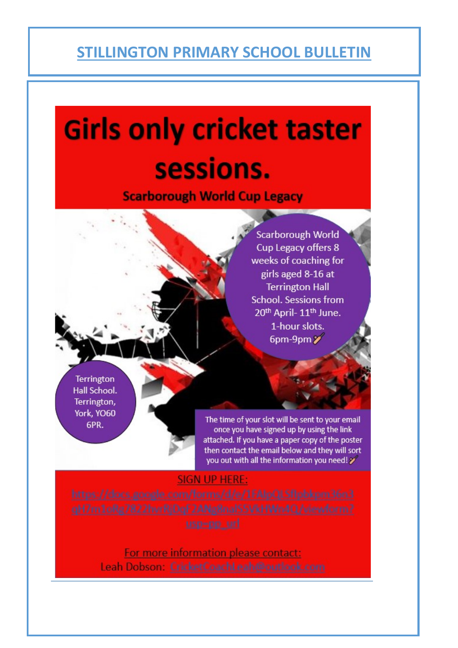## **STILLINGTON PRIMARY SCHOOL BULLETIN**

# **Girls only cricket taster** sessions.

**Scarborough World Cup Legacy** 

**Scarborough World** Cup Legacy offers 8 weeks of coaching for girls aged 8-16 at **Terrington Hall School. Sessions from** 20th April-11th June. 1-hour slots. 6pm-9pm $\mathscr{V}$ 

Terrington Hall School. Terrington, York, YO60 GPR.

The time of your slot will be sent to your email once you have signed up by using the link attached. If you have a paper copy of the poster then contact the email below and they will sort you out with all the information you need!

## SIGN UP HERE:

For more information please contact: Leah Dobson: CricketCoachLeah@outlook.com